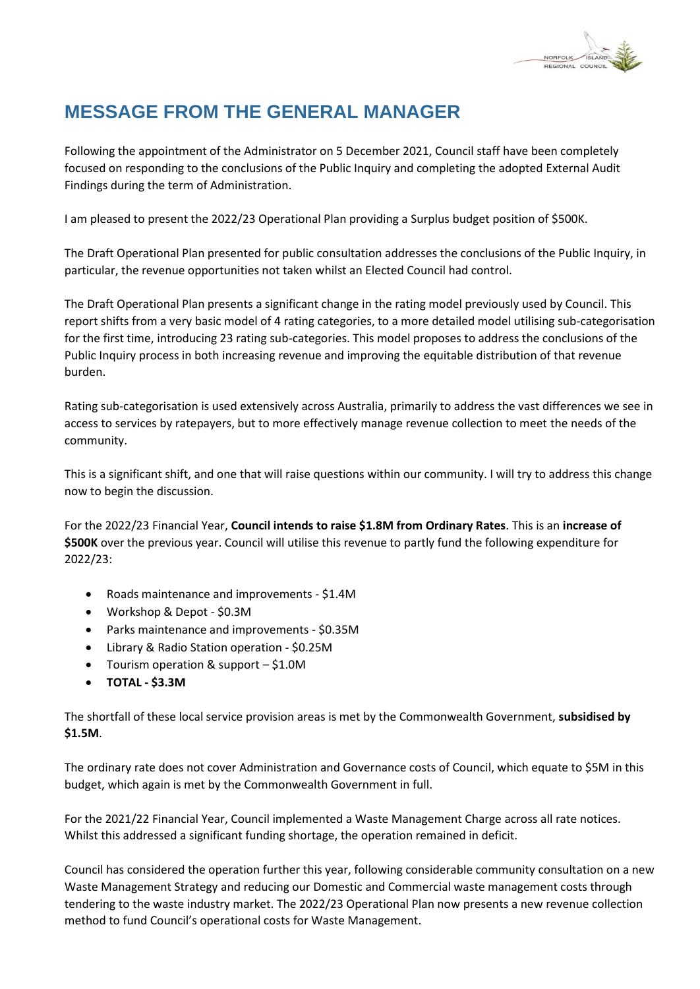

## **MESSAGE FROM THE GENERAL MANAGER**

Following the appointment of the Administrator on 5 December 2021, Council staff have been completely focused on responding to the conclusions of the Public Inquiry and completing the adopted External Audit Findings during the term of Administration.

I am pleased to present the 2022/23 Operational Plan providing a Surplus budget position of \$500K.

The Draft Operational Plan presented for public consultation addresses the conclusions of the Public Inquiry, in particular, the revenue opportunities not taken whilst an Elected Council had control.

The Draft Operational Plan presents a significant change in the rating model previously used by Council. This report shifts from a very basic model of 4 rating categories, to a more detailed model utilising sub-categorisation for the first time, introducing 23 rating sub-categories. This model proposes to address the conclusions of the Public Inquiry process in both increasing revenue and improving the equitable distribution of that revenue burden.

Rating sub-categorisation is used extensively across Australia, primarily to address the vast differences we see in access to services by ratepayers, but to more effectively manage revenue collection to meet the needs of the community.

This is a significant shift, and one that will raise questions within our community. I will try to address this change now to begin the discussion.

For the 2022/23 Financial Year, **Council intends to raise \$1.8M from Ordinary Rates**. This is an **increase of \$500K** over the previous year. Council will utilise this revenue to partly fund the following expenditure for 2022/23:

- Roads maintenance and improvements \$1.4M
- Workshop & Depot \$0.3M
- Parks maintenance and improvements \$0.35M
- Library & Radio Station operation \$0.25M
- Tourism operation & support \$1.0M
- **TOTAL - \$3.3M**

The shortfall of these local service provision areas is met by the Commonwealth Government, **subsidised by \$1.5M**.

The ordinary rate does not cover Administration and Governance costs of Council, which equate to \$5M in this budget, which again is met by the Commonwealth Government in full.

For the 2021/22 Financial Year, Council implemented a Waste Management Charge across all rate notices. Whilst this addressed a significant funding shortage, the operation remained in deficit.

Council has considered the operation further this year, following considerable community consultation on a new Waste Management Strategy and reducing our Domestic and Commercial waste management costs through tendering to the waste industry market. The 2022/23 Operational Plan now presents a new revenue collection method to fund Council's operational costs for Waste Management.